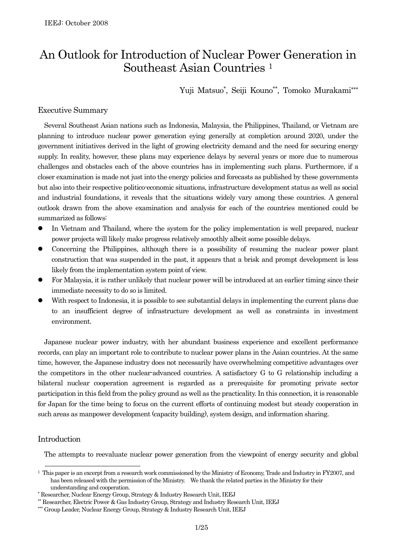# An Outlook for Introduction of Nuclear Power Generation in Southeast Asian Countries 1

Yuji Matsuo\*, Seiji Kouno\*\*, Tomoko Murakami\*\*\*

# Executive Summary

Several Southeast Asian nations such as Indonesia, Malaysia, the Philippines, Thailand, or Vietnam are planning to introduce nuclear power generation eying generally at completion around 2020, under the government initiatives derived in the light of growing electricity demand and the need for securing energy supply. In reality, however, these plans may experience delays by several years or more due to numerous challenges and obstacles each of the above countries has in implementing such plans. Furthermore, if a closer examination is made not just into the energy policies and forecasts as published by these governments but also into their respective politico-economic situations, infrastructure development status as well as social and industrial foundations, it reveals that the situations widely vary among these countries. A general outlook drawn from the above examination and analysis for each of the countries mentioned could be summarized as follows:

- In Vietnam and Thailand, where the system for the policy implementation is well prepared, nuclear power projects will likely make progress relatively smoothly albeit some possible delays.
- Concerning the Philippines, although there is a possibility of resuming the nuclear power plant construction that was suspended in the past, it appears that a brisk and prompt development is less likely from the implementation system point of view.
- For Malaysia, it is rather unlikely that nuclear power will be introduced at an earlier timing since their immediate necessity to do so is limited.
- With respect to Indonesia, it is possible to see substantial delays in implementing the current plans due to an insufficient degree of infrastructure development as well as constraints in investment environment.

Japanese nuclear power industry, with her abundant business experience and excellent performance records, can play an important role to contribute to nuclear power plans in the Asian countries. At the same time, however, the Japanese industry does not necessarily have overwhelming competitive advantages over the competitors in the other nuclear-advanced countries. A satisfactory G to G relationship including a bilateral nuclear cooperation agreement is regarded as a prerequisite for promoting private sector participation in this field from the policy ground as well as the practicality. In this connection, it is reasonable for Japan for the time being to focus on the current efforts of continuing modest but steady cooperation in such areas as manpower development (capacity building), system design, and information sharing.

# Introduction

The attempts to reevaluate nuclear power generation from the viewpoint of energy security and global

<sup>&</sup>lt;sup>1</sup> This paper is an excerpt from a research work commissioned by the Ministry of Economy, Trade and Industry in FY2007, and has been released with the permission of the Ministry. We thank the related parties in the Ministry for their understanding and cooperation.

 Researcher, Nuclear Energy Group, Strategy & Industry Research Unit, IEEJ

Researcher, Electric Power & Gas Industry Group, Strategy and Industry Research Unit, IEEJ

<sup>\*\*\*</sup> Group Leader, Nuclear Energy Group, Strategy & Industry Research Unit, IEEJ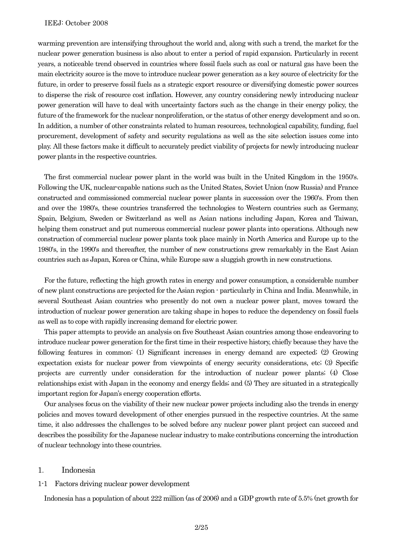warming prevention are intensifying throughout the world and, along with such a trend, the market for the nuclear power generation business is also about to enter a period of rapid expansion. Particularly in recent years, a noticeable trend observed in countries where fossil fuels such as coal or natural gas have been the main electricity source is the move to introduce nuclear power generation as a key source of electricity for the future, in order to preserve fossil fuels as a strategic export resource or diversifying domestic power sources to disperse the risk of resource cost inflation. However, any country considering newly introducing nuclear power generation will have to deal with uncertainty factors such as the change in their energy policy, the future of the framework for the nuclear nonproliferation, or the status of other energy development and so on. In addition, a number of other constraints related to human resources, technological capability, funding, fuel procurement, development of safety and security regulations as well as the site selection issues come into play. All these factors make it difficult to accurately predict viability of projects for newly introducing nuclear power plants in the respective countries.

The first commercial nuclear power plant in the world was built in the United Kingdom in the 1950's. Following the UK, nuclear-capable nations such as the United States, Soviet Union (now Russia) and France constructed and commissioned commercial nuclear power plants in succession over the 1960's. From then and over the 1980's, these countries transferred the technologies to Western countries such as Germany, Spain, Belgium, Sweden or Switzerland as well as Asian nations including Japan, Korea and Taiwan, helping them construct and put numerous commercial nuclear power plants into operations. Although new construction of commercial nuclear power plants took place mainly in North America and Europe up to the 1980's, in the 1990's and thereafter, the number of new constructions grew remarkably in the East Asian countries such as Japan, Korea or China, while Europe saw a sluggish growth in new constructions.

For the future, reflecting the high growth rates in energy and power consumption, a considerable number of new plant constructions are projected for the Asian region - particularly in China and India. Meanwhile, in several Southeast Asian countries who presently do not own a nuclear power plant, moves toward the introduction of nuclear power generation are taking shape in hopes to reduce the dependency on fossil fuels as well as to cope with rapidly increasing demand for electric power.

This paper attempts to provide an analysis on five Southeast Asian countries among those endeavoring to introduce nuclear power generation for the first time in their respective history, chiefly because they have the following features in common: (1) Significant increases in energy demand are expected; (2) Growing expectation exists for nuclear power from viewpoints of energy security considerations, etc; (3) Specific projects are currently under consideration for the introduction of nuclear power plants; (4) Close relationships exist with Japan in the economy and energy fields; and (5) They are situated in a strategically important region for Japan's energy cooperation efforts.

Our analyses focus on the viability of their new nuclear power projects including also the trends in energy policies and moves toward development of other energies pursued in the respective countries. At the same time, it also addresses the challenges to be solved before any nuclear power plant project can succeed and describes the possibility for the Japanese nuclear industry to make contributions concerning the introduction of nuclear technology into these countries.

# 1. Indonesia

# 1-1 Factors driving nuclear power development

Indonesia has a population of about 222 million (as of 2006) and a GDP growth rate of 5.5% (net growth for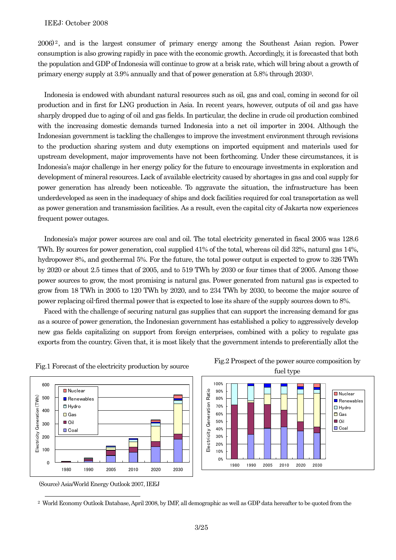$2006$ <sup>2</sup>, and is the largest consumer of primary energy among the Southeast Asian region. Power consumption is also growing rapidly in pace with the economic growth. Accordingly, it is forecasted that both the population and GDP of Indonesia will continue to grow at a brisk rate, which will bring about a growth of primary energy supply at 3.9% annually and that of power generation at 5.8% through 20303.

Indonesia is endowed with abundant natural resources such as oil, gas and coal, coming in second for oil production and in first for LNG production in Asia. In recent years, however, outputs of oil and gas have sharply dropped due to aging of oil and gas fields. In particular, the decline in crude oil production combined with the increasing domestic demands turned Indonesia into a net oil importer in 2004. Although the Indonesian government is tackling the challenges to improve the investment environment through revisions to the production sharing system and duty exemptions on imported equipment and materials used for upstream development, major improvements have not been forthcoming. Under these circumstances, it is Indonesia's major challenge in her energy policy for the future to encourage investments in exploration and development of mineral resources. Lack of available electricity caused by shortages in gas and coal supply for power generation has already been noticeable. To aggravate the situation, the infrastructure has been underdeveloped as seen in the inadequacy of ships and dock facilities required for coal transportation as well as power generation and transmission facilities. As a result, even the capital city of Jakarta now experiences frequent power outages.

Indonesia's major power sources are coal and oil. The total electricity generated in fiscal 2005 was 128.6 TWh. By sources for power generation, coal supplied 41% of the total, whereas oil did 32%, natural gas 14%, hydropower 8%, and geothermal 5%. For the future, the total power output is expected to grow to 326 TWh by 2020 or about 2.5 times that of 2005, and to 519 TWh by 2030 or four times that of 2005. Among those power sources to grow, the most promising is natural gas. Power generated from natural gas is expected to grow from 18 TWh in 2005 to 120 TWh by 2020, and to 234 TWh by 2030, to become the major source of power replacing oil-fired thermal power that is expected to lose its share of the supply sources down to 8%.

Faced with the challenge of securing natural gas supplies that can support the increasing demand for gas as a source of power generation, the Indonesian government has established a policy to aggressively develop new gas fields capitalizing on support from foreign enterprises, combined with a policy to regulate gas exports from the country. Given that, it is most likely that the government intends to preferentially allot the









(Source) Asia/World Energy Outlook 2007, IEEJ

 <sup>2</sup> World Economy Outlook Database, April 2008, by IMF, all demographic as well as GDP data hereafter to be quoted from the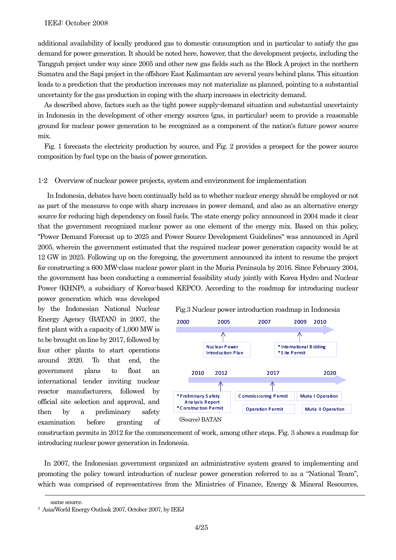additional availability of locally produced gas to domestic consumption and in particular to satisfy the gas demand for power generation. It should be noted here, however, that the development projects, including the Tangguh project under way since 2005 and other new gas fields such as the Block A project in the northern Sumatra and the Sapi project in the offshore East Kalimantan are several years behind plans. This situation leads to a prediction that the production increases may not materialize as planned, pointing to a substantial uncertainty for the gas production in coping with the sharp increases in electricity demand.

As described above, factors such as the tight power supply-demand situation and substantial uncertainty in Indonesia in the development of other energy sources (gas, in particular) seem to provide a reasonable ground for nuclear power generation to be recognized as a component of the nation's future power source mix.

Fig. 1 forecasts the electricity production by source, and Fig. 2 provides a prospect for the power source composition by fuel type on the basis of power generation.

#### 1-2 Overview of nuclear power projects, system and environment for implementation

 In Indonesia, debates have been continually held as to whether nuclear energy should be employed or not as part of the measures to cope with sharp increases in power demand, and also as an alternative energy source for reducing high dependency on fossil fuels. The state energy policy announced in 2004 made it clear that the government recognized nuclear power as one element of the energy mix. Based on this policy, "Power Demand Forecast up to 2025 and Power Source Development Guidelines" was announced in April 2005, wherein the government estimated that the required nuclear power generation capacity would be at 12 GW in 2025. Following up on the foregoing, the government announced its intent to resume the project for constructing a 600 MW-class nuclear power plant in the Muria Peninsula by 2016. Since February 2004, the government has been conducting a commercial feasibility study jointly with Korea Hydro and Nuclear Power (KHNP), a subsidiary of Korea-based KEPCO. According to the roadmap for introducing nuclear

power generation which was developed by the Indonesian National Nuclear Energy Agency (BATAN) in 2007, the first plant with a capacity of 1,000 MW is to be brought on line by 2017, followed by four other plants to start operations around 2020. To that end, the government plans to float an international tender inviting nuclear reactor manufacturers, followed by official site selection and approval, and then by a preliminary safety examination before granting of



construction permits in 2012 for the commencement of work, among other steps. Fig. 3 shows a roadmap for introducing nuclear power generation in Indonesia.

In 2007, the Indonesian government organized an administrative system geared to implementing and promoting the policy toward introduction of nuclear power generation referred to as a "National Team", which was comprised of representatives from the Ministries of Finance, Energy & Mineral Resources,

 $\overline{a}$ 

same source. 3 Asia/World Energy Outlook 2007, October 2007, by IEEJ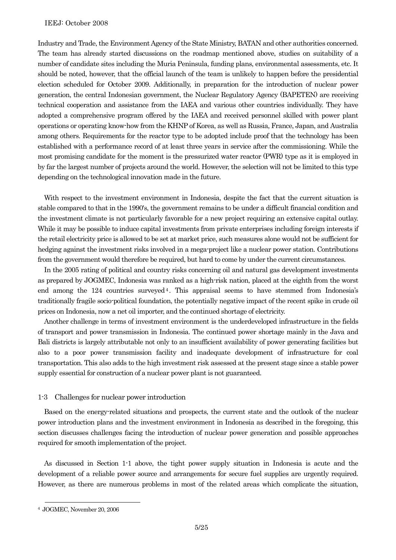Industry and Trade, the Environment Agency of the State Ministry, BATAN and other authorities concerned. The team has already started discussions on the roadmap mentioned above, studies on suitability of a number of candidate sites including the Muria Peninsula, funding plans, environmental assessments, etc. It should be noted, however, that the official launch of the team is unlikely to happen before the presidential election scheduled for October 2009. Additionally, in preparation for the introduction of nuclear power generation, the central Indonesian government, the Nuclear Regulatory Agency (BAPETEN) are receiving technical cooperation and assistance from the IAEA and various other countries individually. They have adopted a comprehensive program offered by the IAEA and received personnel skilled with power plant operations or operating know-how from the KHNP of Korea, as well as Russia, France, Japan, and Australia among others. Requirements for the reactor type to be adopted include proof that the technology has been established with a performance record of at least three years in service after the commissioning. While the most promising candidate for the moment is the pressurized water reactor (PWR) type as it is employed in by far the largest number of projects around the world. However, the selection will not be limited to this type depending on the technological innovation made in the future.

With respect to the investment environment in Indonesia, despite the fact that the current situation is stable compared to that in the 1990's, the government remains to be under a difficult financial condition and the investment climate is not particularly favorable for a new project requiring an extensive capital outlay. While it may be possible to induce capital investments from private enterprises including foreign interests if the retail electricity price is allowed to be set at market price, such measures alone would not be sufficient for hedging against the investment risks involved in a mega-project like a nuclear power station. Contributions from the government would therefore be required, but hard to come by under the current circumstances.

In the 2005 rating of political and country risks concerning oil and natural gas development investments as prepared by JOGMEC, Indonesia was ranked as a high-risk nation, placed at the eighth from the worst end among the  $124$  countries surveyed<sup>4</sup>. This appraisal seems to have stemmed from Indonesia's traditionally fragile socio-political foundation, the potentially negative impact of the recent spike in crude oil prices on Indonesia, now a net oil importer, and the continued shortage of electricity.

Another challenge in terms of investment environment is the underdeveloped infrastructure in the fields of transport and power transmission in Indonesia. The continued power shortage mainly in the Java and Bali districts is largely attributable not only to an insufficient availability of power generating facilities but also to a poor power transmission facility and inadequate development of infrastructure for coal transportation. This also adds to the high investment risk assessed at the present stage since a stable power supply essential for construction of a nuclear power plant is not guaranteed.

# 1-3 Challenges for nuclear power introduction

Based on the energy-related situations and prospects, the current state and the outlook of the nuclear power introduction plans and the investment environment in Indonesia as described in the foregoing, this section discusses challenges facing the introduction of nuclear power generation and possible approaches required for smooth implementation of the project.

As discussed in Section 1-1 above, the tight power supply situation in Indonesia is acute and the development of a reliable power source and arrangements for secure fuel supplies are urgently required. However, as there are numerous problems in most of the related areas which complicate the situation,

 <sup>4</sup> JOGMEC, November 20, 2006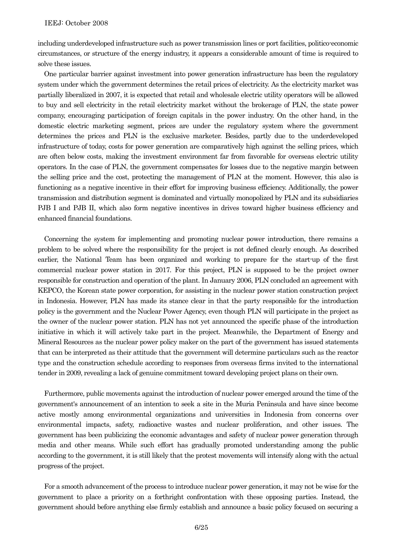including underdeveloped infrastructure such as power transmission lines or port facilities, politico-economic circumstances, or structure of the energy industry, it appears a considerable amount of time is required to solve these issues.

One particular barrier against investment into power generation infrastructure has been the regulatory system under which the government determines the retail prices of electricity. As the electricity market was partially liberalized in 2007, it is expected that retail and wholesale electric utility operators will be allowed to buy and sell electricity in the retail electricity market without the brokerage of PLN, the state power company, encouraging participation of foreign capitals in the power industry. On the other hand, in the domestic electric marketing segment, prices are under the regulatory system where the government determines the prices and PLN is the exclusive marketer. Besides, partly due to the underdeveloped infrastructure of today, costs for power generation are comparatively high against the selling prices, which are often below costs, making the investment environment far from favorable for overseas electric utility operators. In the case of PLN, the government compensates for losses due to the negative margin between the selling price and the cost, protecting the management of PLN at the moment. However, this also is functioning as a negative incentive in their effort for improving business efficiency. Additionally, the power transmission and distribution segment is dominated and virtually monopolized by PLN and its subsidiaries PJB I and PJB II, which also form negative incentives in drives toward higher business efficiency and enhanced financial foundations.

Concerning the system for implementing and promoting nuclear power introduction, there remains a problem to be solved where the responsibility for the project is not defined clearly enough. As described earlier, the National Team has been organized and working to prepare for the start-up of the first commercial nuclear power station in 2017. For this project, PLN is supposed to be the project owner responsible for construction and operation of the plant. In January 2006, PLN concluded an agreement with KEPCO, the Korean state power corporation, for assisting in the nuclear power station construction project in Indonesia. However, PLN has made its stance clear in that the party responsible for the introduction policy is the government and the Nuclear Power Agency, even though PLN will participate in the project as the owner of the nuclear power station. PLN has not yet announced the specific phase of the introduction initiative in which it will actively take part in the project. Meanwhile, the Department of Energy and Mineral Resources as the nuclear power policy maker on the part of the government has issued statements that can be interpreted as their attitude that the government will determine particulars such as the reactor type and the construction schedule according to responses from overseas firms invited to the international tender in 2009, revealing a lack of genuine commitment toward developing project plans on their own.

Furthermore, public movements against the introduction of nuclear power emerged around the time of the government's announcement of an intention to seek a site in the Muria Peninsula and have since become active mostly among environmental organizations and universities in Indonesia from concerns over environmental impacts, safety, radioactive wastes and nuclear proliferation, and other issues. The government has been publicizing the economic advantages and safety of nuclear power generation through media and other means. While such effort has gradually promoted understanding among the public according to the government, it is still likely that the protest movements will intensify along with the actual progress of the project.

For a smooth advancement of the process to introduce nuclear power generation, it may not be wise for the government to place a priority on a forthright confrontation with these opposing parties. Instead, the government should before anything else firmly establish and announce a basic policy focused on securing a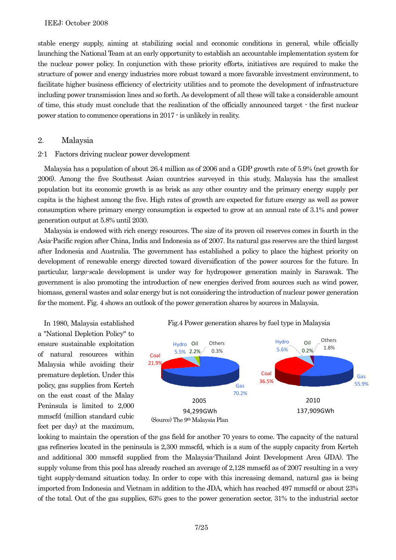stable energy supply, aiming at stabilizing social and economic conditions in general, while officially launching the National Team at an early opportunity to establish an accountable implementation system for the nuclear power policy. In conjunction with these priority efforts, initiatives are required to make the structure of power and energy industries more robust toward a more favorable investment environment, to facilitate higher business efficiency of electricity utilities and to promote the development of infrastructure including power transmission lines and so forth. As development of all these will take a considerable amount of time, this study must conclude that the realization of the officially announced target - the first nuclear power station to commence operations in 2017 - is unlikely in reality.

#### 2. Malaysia

#### 2-1 Factors driving nuclear power development

Malaysia has a population of about 26.4 million as of 2006 and a GDP growth rate of 5.9% (net growth for 2006). Among the five Southeast Asian countries surveyed in this study, Malaysia has the smallest population but its economic growth is as brisk as any other country and the primary energy supply per capita is the highest among the five. High rates of growth are expected for future energy as well as power consumption where primary energy consumption is expected to grow at an annual rate of 3.1% and power generation output at 5.8% until 2030.

Malaysia is endowed with rich energy resources. The size of its proven oil reserves comes in fourth in the Asia-Pacific region after China, India and Indonesia as of 2007. Its natural gas reserves are the third largest after Indonesia and Australia. The government has established a policy to place the highest priority on development of renewable energy directed toward diversification of the power sources for the future. In particular, large-scale development is under way for hydropower generation mainly in Sarawak. The government is also promoting the introduction of new energies derived from sources such as wind power, biomass, general wastes and solar energy but is not considering the introduction of nuclear power generation for the moment. Fig. 4 shows an outlook of the power generation shares by sources in Malaysia.

In 1980, Malaysia established a "National Depletion Policy" to ensure sustainable exploitation of natural resources within Malaysia while avoiding their premature depletion. Under this policy, gas supplies from Kerteh on the east coast of the Malay Peninsula is limited to 2,000 mmscfd (million standard cubic feet per day) at the maximum,





looking to maintain the operation of the gas field for another 70 years to come. The capacity of the natural gas refineries located in the peninsula is 2,300 mmscfd, which is a sum of the supply capacity from Kerteh and additional 300 mmscfd supplied from the Malaysia-Thailand Joint Development Area (JDA). The supply volume from this pool has already reached an average of 2,128 mmscfd as of 2007 resulting in a very tight supply-demand situation today. In order to cope with this increasing demand, natural gas is being imported from Indonesia and Vietnam in addition to the JDA, which has reached 497 mmscfd or about 23% of the total. Out of the gas supplies, 63% goes to the power generation sector, 31% to the industrial sector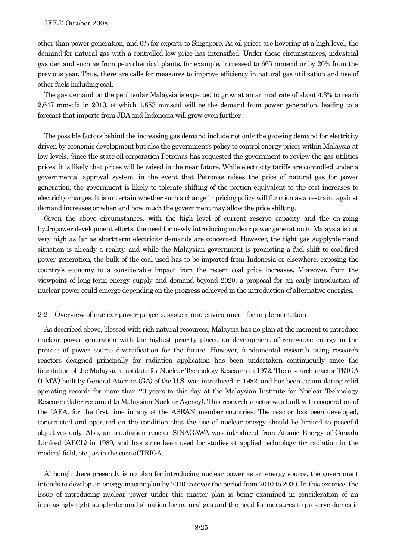other than power generation, and 6% for exports to Singapore. As oil prices are hovering at a high level, the demand for natural gas with a controlled low price has intensified. Under these circumstances, industrial gas demand such as from petrochemical plants, for example, increased to 665 mmscfd or by 20% from the previous year. Thus, there are calls for measures to improve efficiency in natural gas utilization and use of other fuels including coal.

The gas demand on the peninsular Malaysia is expected to grow at an annual rate of about 4.3% to reach 2,647 mmscfd in 2010, of which 1,653 mmscfd will be the demand from power generation, leading to a forecast that imports from JDA and Indonesia will grow even further.

The possible factors behind the increasing gas demand include not only the growing demand for electricity driven by economic development but also the government's policy to control energy prices within Malaysia at low levels. Since the state oil corporation Petronas has requested the government to review the gas utilities prices, it is likely that prices will be raised in the near future. While electricity tariffs are controlled under a governmental approval system, in the event that Petronas raises the price of natural gas for power generation, the government is likely to tolerate shifting of the portion equivalent to the cost increases to electricity charges. It is uncertain whether such a change in pricing policy will function as a restraint against demand increases or when and how much the government may allow the price shifting.

Given the above circumstances, with the high level of current reserve capacity and the on-going hydropower development efforts, the need for newly introducing nuclear power generation to Malaysia is not very high as far as short-term electricity demands are concerned. However, the tight gas supply-demand situation is already a reality, and while the Malaysian government is promoting a fuel shift to coal-fired power generation, the bulk of the coal used has to be imported from Indonesia or elsewhere, exposing the country's economy to a considerable impact from the recent coal price increases. Moreover, from the viewpoint of long-term energy supply and demand beyond 2020, a proposal for an early introduction of nuclear power could emerge depending on the progress achieved in the introduction of alternative energies.

#### 2-2 Overview of nuclear power projects, system and environment for implementation

As described above, blessed with rich natural resources, Malaysia has no plan at the moment to introduce nuclear power generation with the highest priority placed on development of renewable energy in the process of power source diversification for the future. However, fundamental research using research reactors designed principally for radiation application has been undertaken continuously since the foundation of the Malaysian Institute for Nuclear Technology Research in 1972. The research reactor TRIGA (1 MW) built by General Atomics (GA) of the U.S. was introduced in 1982, and has been accumulating solid operating records for more than 20 years to this day at the Malaysian Institute for Nuclear Technology Research (later renamed to Malaysian Nuclear Agency). This research reactor was built with cooperation of the IAEA, for the first time in any of the ASEAN member countries. The reactor has been developed, constructed and operated on the condition that the use of nuclear energy should be limited to peaceful objectives only. Also, an irradiation reactor SINAGAWA was introduced from Atomic Energy of Canada Limited (AECL) in 1989, and has since been used for studies of applied technology for radiation in the medical field, etc., as in the case of TRIGA.

Although there presently is no plan for introducing nuclear power as an energy source, the government intends to develop an energy master plan by 2010 to cover the period from 2010 to 2030. In this exercise, the issue of introducing nuclear power under this master plan is being examined in consideration of an increasingly tight supply-demand situation for natural gas and the need for measures to preserve domestic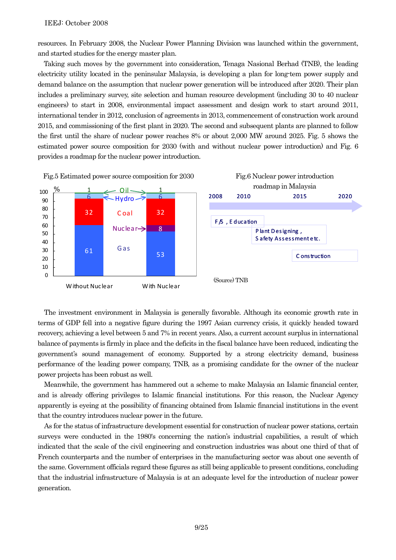resources. In February 2008, the Nuclear Power Planning Division was launched within the government, and started studies for the energy master plan.

Taking such moves by the government into consideration, Tenaga Nasional Berhad (TNB), the leading electricity utility located in the peninsular Malaysia, is developing a plan for long-tem power supply and demand balance on the assumption that nuclear power generation will be introduced after 2020. Their plan includes a preliminary survey, site selection and human resource development (including 30 to 40 nuclear engineers) to start in 2008, environmental impact assessment and design work to start around 2011, international tender in 2012, conclusion of agreements in 2013, commencement of construction work around 2015, and commissioning of the first plant in 2020. The second and subsequent plants are planned to follow the first until the share of nuclear power reaches 8% or about 2,000 MW around 2025. Fig. 5 shows the estimated power source composition for 2030 (with and without nuclear power introduction) and Fig. 6 provides a roadmap for the nuclear power introduction.



The investment environment in Malaysia is generally favorable. Although its economic growth rate in terms of GDP fell into a negative figure during the 1997 Asian currency crisis, it quickly headed toward recovery, achieving a level between 5 and 7% in recent years. Also, a current account surplus in international balance of payments is firmly in place and the deficits in the fiscal balance have been reduced, indicating the government's sound management of economy. Supported by a strong electricity demand, business performance of the leading power company, TNB, as a promising candidate for the owner of the nuclear power projects has been robust as well.

Meanwhile, the government has hammered out a scheme to make Malaysia an Islamic financial center, and is already offering privileges to Islamic financial institutions. For this reason, the Nuclear Agency apparently is eyeing at the possibility of financing obtained from Islamic financial institutions in the event that the country introduces nuclear power in the future.

As for the status of infrastructure development essential for construction of nuclear power stations, certain surveys were conducted in the 1980's concerning the nation's industrial capabilities, a result of which indicated that the scale of the civil engineering and construction industries was about one third of that of French counterparts and the number of enterprises in the manufacturing sector was about one seventh of the same. Government officials regard these figures as still being applicable to present conditions, concluding that the industrial infrastructure of Malaysia is at an adequate level for the introduction of nuclear power generation.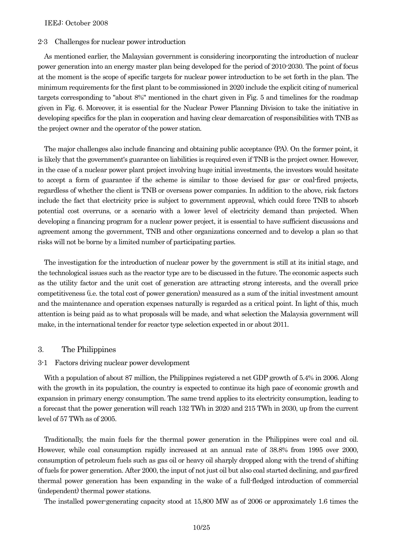#### 2-3 Challenges for nuclear power introduction

As mentioned earlier, the Malaysian government is considering incorporating the introduction of nuclear power generation into an energy master plan being developed for the period of 2010-2030. The point of focus at the moment is the scope of specific targets for nuclear power introduction to be set forth in the plan. The minimum requirements for the first plant to be commissioned in 2020 include the explicit citing of numerical targets corresponding to "about 8%" mentioned in the chart given in Fig. 5 and timelines for the roadmap given in Fig. 6. Moreover, it is essential for the Nuclear Power Planning Division to take the initiative in developing specifics for the plan in cooperation and having clear demarcation of responsibilities with TNB as the project owner and the operator of the power station.

The major challenges also include financing and obtaining public acceptance (PA). On the former point, it is likely that the government's guarantee on liabilities is required even if TNB is the project owner. However, in the case of a nuclear power plant project involving huge initial investments, the investors would hesitate to accept a form of guarantee if the scheme is similar to those devised for gas- or coal-fired projects, regardless of whether the client is TNB or overseas power companies. In addition to the above, risk factors include the fact that electricity price is subject to government approval, which could force TNB to absorb potential cost overruns, or a scenario with a lower level of electricity demand than projected. When developing a financing program for a nuclear power project, it is essential to have sufficient discussions and agreement among the government, TNB and other organizations concerned and to develop a plan so that risks will not be borne by a limited number of participating parties.

The investigation for the introduction of nuclear power by the government is still at its initial stage, and the technological issues such as the reactor type are to be discussed in the future. The economic aspects such as the utility factor and the unit cost of generation are attracting strong interests, and the overall price competitiveness (i.e. the total cost of power generation) measured as a sum of the initial investment amount and the maintenance and operation expenses naturally is regarded as a critical point. In light of this, much attention is being paid as to what proposals will be made, and what selection the Malaysia government will make, in the international tender for reactor type selection expected in or about 2011.

# 3. The Philippines

#### 3-1 Factors driving nuclear power development

With a population of about 87 million, the Philippines registered a net GDP growth of 5.4% in 2006. Along with the growth in its population, the country is expected to continue its high pace of economic growth and expansion in primary energy consumption. The same trend applies to its electricity consumption, leading to a forecast that the power generation will reach 132 TWh in 2020 and 215 TWh in 2030, up from the current level of 57 TWh as of 2005.

Traditionally, the main fuels for the thermal power generation in the Philippines were coal and oil. However, while coal consumption rapidly increased at an annual rate of 38.8% from 1995 over 2000, consumption of petroleum fuels such as gas oil or heavy oil sharply dropped along with the trend of shifting of fuels for power generation. After 2000, the input of not just oil but also coal started declining, and gas-fired thermal power generation has been expanding in the wake of a full-fledged introduction of commercial (independent) thermal power stations.

The installed power-generating capacity stood at 15,800 MW as of 2006 or approximately 1.6 times the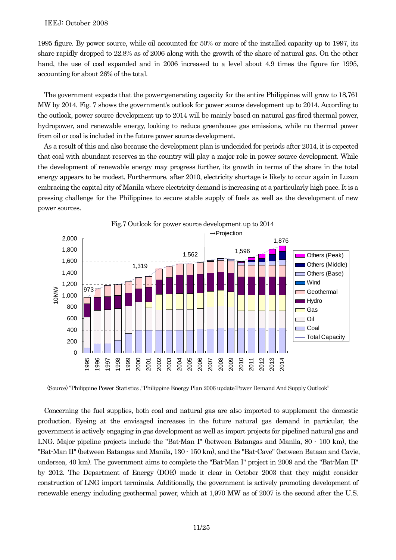1995 figure. By power source, while oil accounted for 50% or more of the installed capacity up to 1997, its share rapidly dropped to 22.8% as of 2006 along with the growth of the share of natural gas. On the other hand, the use of coal expanded and in 2006 increased to a level about 4.9 times the figure for 1995, accounting for about 26% of the total.

The government expects that the power-generating capacity for the entire Philippines will grow to 18,761 MW by 2014. Fig. 7 shows the government's outlook for power source development up to 2014. According to the outlook, power source development up to 2014 will be mainly based on natural gas-fired thermal power, hydropower, and renewable energy, looking to reduce greenhouse gas emissions, while no thermal power from oil or coal is included in the future power source development.

As a result of this and also because the development plan is undecided for periods after 2014, it is expected that coal with abundant reserves in the country will play a major role in power source development. While the development of renewable energy may progress further, its growth in terms of the share in the total energy appears to be modest. Furthermore, after 2010, electricity shortage is likely to occur again in Luzon embracing the capital city of Manila where electricity demand is increasing at a particularly high pace. It is a pressing challenge for the Philippines to secure stable supply of fuels as well as the development of new power sources.



(Source) "Philippine Power Statistics ,"Philippine Energy Plan 2006 update:Power Demand And Supply Outlook"

Concerning the fuel supplies, both coal and natural gas are also imported to supplement the domestic production. Eyeing at the envisaged increases in the future natural gas demand in particular, the government is actively engaging in gas development as well as import projects for pipelined natural gas and LNG. Major pipeline projects include the "Bat-Man I" (between Batangas and Manila, 80 - 100 km), the "Bat-Man II" (between Batangas and Manila, 130 - 150 km), and the "Bat-Cave" (between Bataan and Cavie, undersea, 40 km). The government aims to complete the "Bat-Man I" project in 2009 and the "Bat-Man II" by 2012. The Department of Energy (DOE) made it clear in October 2003 that they might consider construction of LNG import terminals. Additionally, the government is actively promoting development of renewable energy including geothermal power, which at 1,970 MW as of 2007 is the second after the U.S.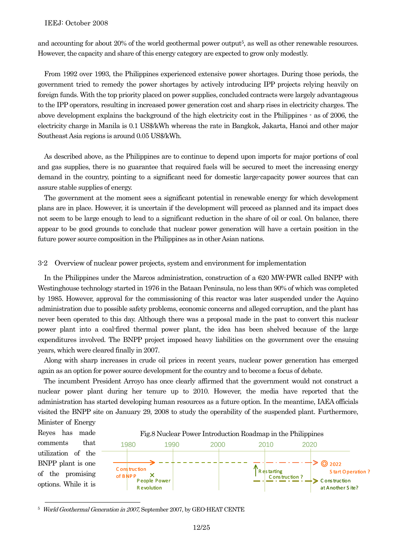and accounting for about 20% of the world geothermal power output<sup>5</sup>, as well as other renewable resources. However, the capacity and share of this energy category are expected to grow only modestly.

From 1992 over 1993, the Philippines experienced extensive power shortages. During those periods, the government tried to remedy the power shortages by actively introducing IPP projects relying heavily on foreign funds. With the top priority placed on power supplies, concluded contracts were largely advantageous to the IPP operators, resulting in increased power generation cost and sharp rises in electricity charges. The above development explains the background of the high electricity cost in the Philippines - as of 2006, the electricity charge in Manila is 0.1 US\$/kWh whereas the rate in Bangkok, Jakarta, Hanoi and other major Southeast Asia regions is around 0.05 US\$/kWh.

As described above, as the Philippines are to continue to depend upon imports for major portions of coal and gas supplies, there is no guarantee that required fuels will be secured to meet the increasing energy demand in the country, pointing to a significant need for domestic large-capacity power sources that can assure stable supplies of energy.

The government at the moment sees a significant potential in renewable energy for which development plans are in place. However, it is uncertain if the development will proceed as planned and its impact does not seem to be large enough to lead to a significant reduction in the share of oil or coal. On balance, there appear to be good grounds to conclude that nuclear power generation will have a certain position in the future power source composition in the Philippines as in other Asian nations.

#### 3-2 Overview of nuclear power projects, system and environment for implementation

In the Philippines under the Marcos administration, construction of a 620 MW-PWR called BNPP with Westinghouse technology started in 1976 in the Bataan Peninsula, no less than 90% of which was completed by 1985. However, approval for the commissioning of this reactor was later suspended under the Aquino administration due to possible safety problems, economic concerns and alleged corruption, and the plant has never been operated to this day. Although there was a proposal made in the past to convert this nuclear power plant into a coal-fired thermal power plant, the idea has been shelved because of the large expenditures involved. The BNPP project imposed heavy liabilities on the government over the ensuing years, which were cleared finally in 2007.

Along with sharp increases in crude oil prices in recent years, nuclear power generation has emerged again as an option for power source development for the country and to become a focus of debate.

The incumbent President Arroyo has once clearly affirmed that the government would not construct a nuclear power plant during her tenure up to 2010. However, the media have reported that the administration has started developing human resources as a future option. In the meantime, IAEA officials visited the BNPP site on January 29, 2008 to study the operability of the suspended plant. Furthermore,



5 World Geothermal Generation in 2007, September 2007, by GEO-HEAT CENTE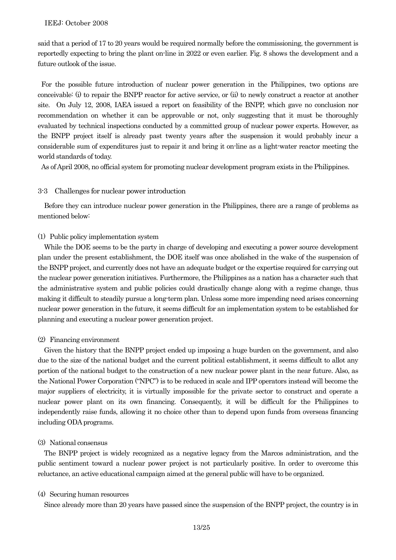said that a period of 17 to 20 years would be required normally before the commissioning, the government is reportedly expecting to bring the plant on-line in 2022 or even earlier. Fig. 8 shows the development and a future outlook of the issue.

For the possible future introduction of nuclear power generation in the Philippines, two options are conceivable: (i) to repair the BNPP reactor for active service, or (ii) to newly construct a reactor at another site. On July 12, 2008, IAEA issued a report on feasibility of the BNPP, which gave no conclusion nor recommendation on whether it can be approvable or not, only suggesting that it must be thoroughly evaluated by technical inspections conducted by a committed group of nuclear power experts. However, as the BNPP project itself is already past twenty years after the suspension it would probably incur a considerable sum of expenditures just to repair it and bring it on-line as a light-water reactor meeting the world standards of today.

As of April 2008, no official system for promoting nuclear development program exists in the Philippines.

# 3-3 Challenges for nuclear power introduction

Before they can introduce nuclear power generation in the Philippines, there are a range of problems as mentioned below:

# (1) Public policy implementation system

While the DOE seems to be the party in charge of developing and executing a power source development plan under the present establishment, the DOE itself was once abolished in the wake of the suspension of the BNPP project, and currently does not have an adequate budget or the expertise required for carrying out the nuclear power generation initiatives. Furthermore, the Philippines as a nation has a character such that the administrative system and public policies could drastically change along with a regime change, thus making it difficult to steadily pursue a long-term plan. Unless some more impending need arises concerning nuclear power generation in the future, it seems difficult for an implementation system to be established for planning and executing a nuclear power generation project.

## (2) Financing environment

Given the history that the BNPP project ended up imposing a huge burden on the government, and also due to the size of the national budget and the current political establishment, it seems difficult to allot any portion of the national budget to the construction of a new nuclear power plant in the near future. Also, as the National Power Corporation ("NPC") is to be reduced in scale and IPP operators instead will become the major suppliers of electricity, it is virtually impossible for the private sector to construct and operate a nuclear power plant on its own financing. Consequently, it will be difficult for the Philippines to independently raise funds, allowing it no choice other than to depend upon funds from overseas financing including ODA programs.

# (3) National consensus

The BNPP project is widely recognized as a negative legacy from the Marcos administration, and the public sentiment toward a nuclear power project is not particularly positive. In order to overcome this reluctance, an active educational campaign aimed at the general public will have to be organized.

#### (4) Securing human resources

Since already more than 20 years have passed since the suspension of the BNPP project, the country is in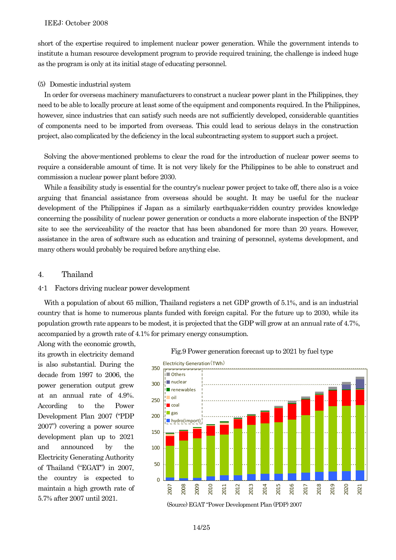short of the expertise required to implement nuclear power generation. While the government intends to institute a human resource development program to provide required training, the challenge is indeed huge as the program is only at its initial stage of educating personnel.

## (5) Domestic industrial system

In order for overseas machinery manufacturers to construct a nuclear power plant in the Philippines, they need to be able to locally procure at least some of the equipment and components required. In the Philippines, however, since industries that can satisfy such needs are not sufficiently developed, considerable quantities of components need to be imported from overseas. This could lead to serious delays in the construction project, also complicated by the deficiency in the local subcontracting system to support such a project.

Solving the above-mentioned problems to clear the road for the introduction of nuclear power seems to require a considerable amount of time. It is not very likely for the Philippines to be able to construct and commission a nuclear power plant before 2030.

While a feasibility study is essential for the country's nuclear power project to take off, there also is a voice arguing that financial assistance from overseas should be sought. It may be useful for the nuclear development of the Philippines if Japan as a similarly earthquake-ridden country provides knowledge concerning the possibility of nuclear power generation or conducts a more elaborate inspection of the BNPP site to see the serviceability of the reactor that has been abandoned for more than 20 years. However, assistance in the area of software such as education and training of personnel, systems development, and many others would probably be required before anything else.

# 4. Thailand

## 4-1 Factors driving nuclear power development

With a population of about 65 million, Thailand registers a net GDP growth of 5.1%, and is an industrial country that is home to numerous plants funded with foreign capital. For the future up to 2030, while its population growth rate appears to be modest, it is projected that the GDP will grow at an annual rate of 4.7%, accompanied by a growth rate of 4.1% for primary energy consumption.

Along with the economic growth, its growth in electricity demand is also substantial. During the decade from 1997 to 2006, the power generation output grew at an annual rate of 4.9%. According to the Power Development Plan 2007 ("PDP 2007") covering a power source development plan up to 2021 and announced by the Electricity Generating Authority of Thailand ("EGAT") in 2007, the country is expected to maintain a high growth rate of 5.7% after 2007 until 2021.





(Source) EGAT "Power Development Plan (PDP) 2007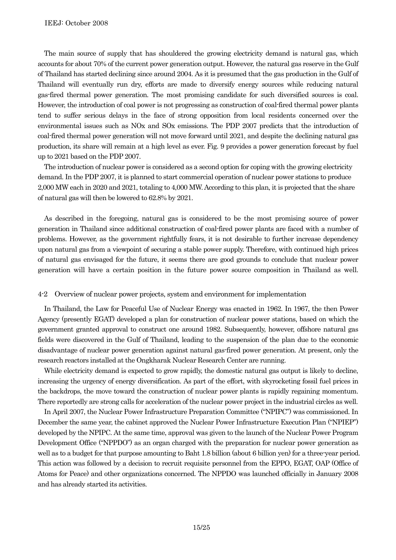The main source of supply that has shouldered the growing electricity demand is natural gas, which accounts for about 70% of the current power generation output. However, the natural gas reserve in the Gulf of Thailand has started declining since around 2004. As it is presumed that the gas production in the Gulf of Thailand will eventually run dry, efforts are made to diversify energy sources while reducing natural gas-fired thermal power generation. The most promising candidate for such diversified sources is coal. However, the introduction of coal power is not progressing as construction of coal-fired thermal power plants tend to suffer serious delays in the face of strong opposition from local residents concerned over the environmental issues such as NOx and SOx emissions. The PDP 2007 predicts that the introduction of coal-fired thermal power generation will not move forward until 2021, and despite the declining natural gas production, its share will remain at a high level as ever. Fig. 9 provides a power generation forecast by fuel up to 2021 based on the PDP 2007.

The introduction of nuclear power is considered as a second option for coping with the growing electricity demand. In the PDP 2007, it is planned to start commercial operation of nuclear power stations to produce 2,000 MW each in 2020 and 2021, totaling to 4,000 MW. According to this plan, it is projected that the share of natural gas will then be lowered to 62.8% by 2021.

As described in the foregoing, natural gas is considered to be the most promising source of power generation in Thailand since additional construction of coal-fired power plants are faced with a number of problems. However, as the government rightfully fears, it is not desirable to further increase dependency upon natural gas from a viewpoint of securing a stable power supply. Therefore, with continued high prices of natural gas envisaged for the future, it seems there are good grounds to conclude that nuclear power generation will have a certain position in the future power source composition in Thailand as well.

## 4-2 Overview of nuclear power projects, system and environment for implementation

In Thailand, the Law for Peaceful Use of Nuclear Energy was enacted in 1962. In 1967, the then Power Agency (presently EGAT) developed a plan for construction of nuclear power stations, based on which the government granted approval to construct one around 1982. Subsequently, however, offshore natural gas fields were discovered in the Gulf of Thailand, leading to the suspension of the plan due to the economic disadvantage of nuclear power generation against natural gas-fired power generation. At present, only the research reactors installed at the Ongkharak Nuclear Research Center are running.

While electricity demand is expected to grow rapidly, the domestic natural gas output is likely to decline, increasing the urgency of energy diversification. As part of the effort, with skyrocketing fossil fuel prices in the backdrops, the move toward the construction of nuclear power plants is rapidly regaining momentum. There reportedly are strong calls for acceleration of the nuclear power project in the industrial circles as well.

In April 2007, the Nuclear Power Infrastructure Preparation Committee ("NPIPC") was commissioned. In December the same year, the cabinet approved the Nuclear Power Infrastructure Execution Plan ("NPIEP") developed by the NPIPC. At the same time, approval was given to the launch of the Nuclear Power Program Development Office ("NPPDO") as an organ charged with the preparation for nuclear power generation as well as to a budget for that purpose amounting to Baht 1.8 billion (about 6 billion yen) for a three-year period. This action was followed by a decision to recruit requisite personnel from the EPPO, EGAT, OAP (Office of Atoms for Peace) and other organizations concerned. The NPPDO was launched officially in January 2008 and has already started its activities.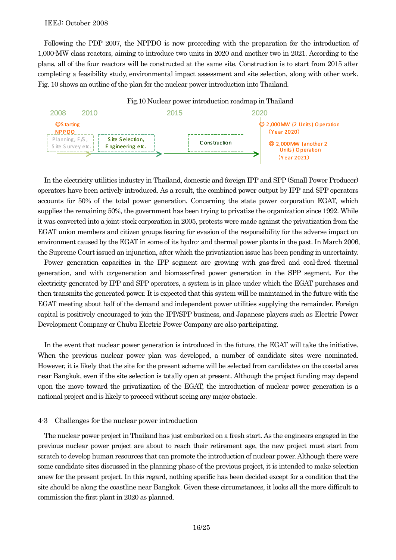Following the PDP 2007, the NPPDO is now proceeding with the preparation for the introduction of 1,000-MW class reactors, aiming to introduce two units in 2020 and another two in 2021. According to the plans, all of the four reactors will be constructed at the same site. Construction is to start from 2015 after completing a feasibility study, environmental impact assessment and site selection, along with other work. Fig. 10 shows an outline of the plan for the nuclear power introduction into Thailand.



In the electricity utilities industry in Thailand, domestic and foreign IPP and SPP (Small Power Producer) operators have been actively introduced. As a result, the combined power output by IPP and SPP operators accounts for 50% of the total power generation. Concerning the state power corporation EGAT, which supplies the remaining 50%, the government has been trying to privatize the organization since 1992. While it was converted into a joint-stock corporation in 2005, protests were made against the privatization from the EGAT union members and citizen groups fearing for evasion of the responsibility for the adverse impact on environment caused by the EGAT in some of its hydro- and thermal power plants in the past. In March 2006, the Supreme Court issued an injunction, after which the privatization issue has been pending in uncertainty.

Power generation capacities in the IPP segment are growing with gas-fired and coal-fired thermal generation, and with co-generation and biomass-fired power generation in the SPP segment. For the electricity generated by IPP and SPP operators, a system is in place under which the EGAT purchases and then transmits the generated power. It is expected that this system will be maintained in the future with the EGAT meeting about half of the demand and independent power utilities supplying the remainder. Foreign capital is positively encouraged to join the IPP/SPP business, and Japanese players such as Electric Power Development Company or Chubu Electric Power Company are also participating.

In the event that nuclear power generation is introduced in the future, the EGAT will take the initiative. When the previous nuclear power plan was developed, a number of candidate sites were nominated. However, it is likely that the site for the present scheme will be selected from candidates on the coastal area near Bangkok, even if the site selection is totally open at present. Although the project funding may depend upon the move toward the privatization of the EGAT, the introduction of nuclear power generation is a national project and is likely to proceed without seeing any major obstacle.

# 4-3 Challenges for the nuclear power introduction

The nuclear power project in Thailand has just embarked on a fresh start. As the engineers engaged in the previous nuclear power project are about to reach their retirement age, the new project must start from scratch to develop human resources that can promote the introduction of nuclear power. Although there were some candidate sites discussed in the planning phase of the previous project, it is intended to make selection anew for the present project. In this regard, nothing specific has been decided except for a condition that the site should be along the coastline near Bangkok. Given these circumstances, it looks all the more difficult to commission the first plant in 2020 as planned.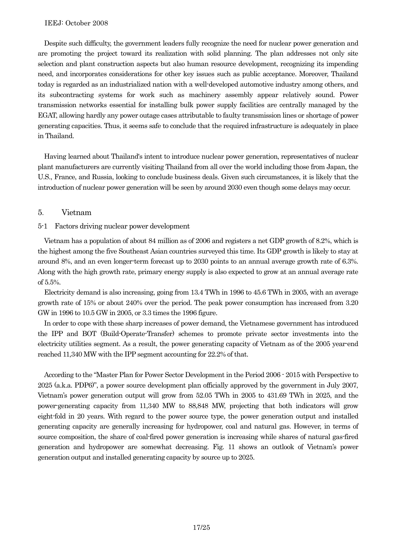Despite such difficulty, the government leaders fully recognize the need for nuclear power generation and are promoting the project toward its realization with solid planning. The plan addresses not only site selection and plant construction aspects but also human resource development, recognizing its impending need, and incorporates considerations for other key issues such as public acceptance. Moreover, Thailand today is regarded as an industrialized nation with a well-developed automotive industry among others, and its subcontracting systems for work such as machinery assembly appear relatively sound. Power transmission networks essential for installing bulk power supply facilities are centrally managed by the EGAT, allowing hardly any power outage cases attributable to faulty transmission lines or shortage of power generating capacities. Thus, it seems safe to conclude that the required infrastructure is adequately in place in Thailand.

Having learned about Thailand's intent to introduce nuclear power generation, representatives of nuclear plant manufacturers are currently visiting Thailand from all over the world including those from Japan, the U.S., France, and Russia, looking to conclude business deals. Given such circumstances, it is likely that the introduction of nuclear power generation will be seen by around 2030 even though some delays may occur.

# 5. Vietnam

# 5-1 Factors driving nuclear power development

Vietnam has a population of about 84 million as of 2006 and registers a net GDP growth of 8.2%, which is the highest among the five Southeast Asian countries surveyed this time. Its GDP growth is likely to stay at around 8%, and an even longer-term forecast up to 2030 points to an annual average growth rate of 6.3%. Along with the high growth rate, primary energy supply is also expected to grow at an annual average rate of 5.5%.

Electricity demand is also increasing, going from 13.4 TWh in 1996 to 45.6 TWh in 2005, with an average growth rate of 15% or about 240% over the period. The peak power consumption has increased from 3.20 GW in 1996 to 10.5 GW in 2005, or 3.3 times the 1996 figure.

In order to cope with these sharp increases of power demand, the Vietnamese government has introduced the IPP and BOT (Build-Operate-Transfer) schemes to promote private sector investments into the electricity utilities segment. As a result, the power generating capacity of Vietnam as of the 2005 year-end reached 11,340 MW with the IPP segment accounting for 22.2% of that.

According to the "Master Plan for Power Sector Development in the Period 2006 - 2015 with Perspective to 2025 (a.k.a. PDP6)", a power source development plan officially approved by the government in July 2007, Vietnam's power generation output will grow from 52.05 TWh in 2005 to 431.69 TWh in 2025, and the power-generating capacity from 11,340 MW to 88,848 MW, projecting that both indicators will grow eight-fold in 20 years. With regard to the power source type, the power generation output and installed generating capacity are generally increasing for hydropower, coal and natural gas. However, in terms of source composition, the share of coal-fired power generation is increasing while shares of natural gas-fired generation and hydropower are somewhat decreasing. Fig. 11 shows an outlook of Vietnam's power generation output and installed generating capacity by source up to 2025.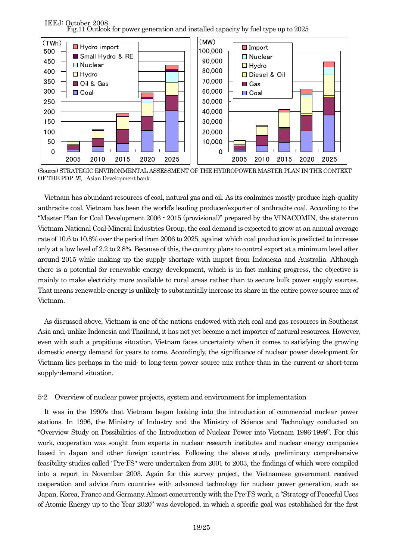IEEJ: October 2008 Fig.11 Outlook for power generation and installed capacity by fuel type up to 2025



(Source) STRATEGIC ENVIRONMENTAL ASSESSMENT OF THE HYDROPOWER MASTER PLAN IN THE CONTEXT OF THE PDP VI, Asian Development bank

Vietnam has abundant resources of coal, natural gas and oil. As its coalmines mostly produce high-quality anthracite coal, Vietnam has been the world's leading producer/exporter of anthracite coal. According to the "Master Plan for Coal Development 2006 - 2015 (provisional)" prepared by the VINACOMIN, the state-run Vietnam National Coal-Mineral Industries Group, the coal demand is expected to grow at an annual average rate of 10.6 to 10.8% over the period from 2006 to 2025, against which coal production is predicted to increase only at a low level of 2.2 to 2.8%. Because of this, the country plans to control export at a minimum level after around 2015 while making up the supply shortage with import from Indonesia and Australia. Although there is a potential for renewable energy development, which is in fact making progress, the objective is mainly to make electricity more available to rural areas rather than to secure bulk power supply sources. That means renewable energy is unlikely to substantially increase its share in the entire power source mix of Vietnam.

As discussed above, Vietnam is one of the nations endowed with rich coal and gas resources in Southeast Asia and, unlike Indonesia and Thailand, it has not yet become a net importer of natural resources. However, even with such a propitious situation, Vietnam faces uncertainty when it comes to satisfying the growing domestic energy demand for years to come. Accordingly, the significance of nuclear power development for Vietnam lies perhaps in the mid- to long-term power source mix rather than in the current or short-term supply-demand situation.

# 5-2 Overview of nuclear power projects, system and environment for implementation

It was in the 1990's that Vietnam began looking into the introduction of commercial nuclear power stations. In 1996, the Ministry of Industry and the Ministry of Science and Technology conducted an "Overview Study on Possibilities of the Introduction of Nuclear Power into Vietnam 1996-1999". For this work, cooperation was sought from experts in nuclear research institutes and nuclear energy companies based in Japan and other foreign countries. Following the above study, preliminary comprehensive feasibility studies called "Pre-FS" were undertaken from 2001 to 2003, the findings of which were compiled into a report in November 2003. Again for this survey project, the Vietnamese government received cooperation and advice from countries with advanced technology for nuclear power generation, such as Japan, Korea, France and Germany. Almost concurrently with the Pre-FS work, a "Strategy of Peaceful Uses of Atomic Energy up to the Year 2020" was developed, in which a specific goal was established for the first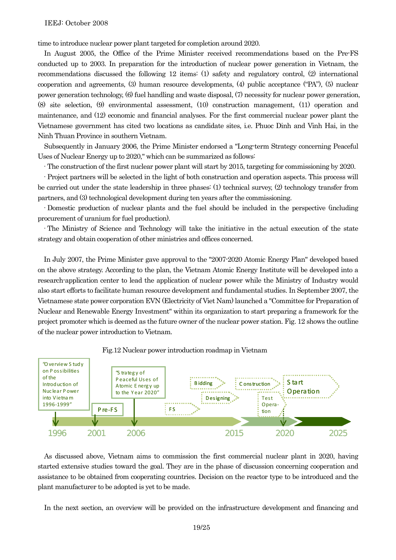time to introduce nuclear power plant targeted for completion around 2020.

In August 2005, the Office of the Prime Minister received recommendations based on the Pre-FS conducted up to 2003. In preparation for the introduction of nuclear power generation in Vietnam, the recommendations discussed the following 12 items: (1) safety and regulatory control, (2) international cooperation and agreements, (3) human resource developments, (4) public acceptance ("PA"), (5) nuclear power generation technology, (6) fuel handling and waste disposal, (7) necessity for nuclear power generation, (8) site selection, (9) environmental assessment, (10) construction management, (11) operation and maintenance, and (12) economic and financial analyses. For the first commercial nuclear power plant the Vietnamese government has cited two locations as candidate sites, i.e. Phuoc Dinh and Vinh Hai, in the Ninh Thuan Province in southern Vietnam.

Subsequently in January 2006, the Prime Minister endorsed a "Long-term Strategy concerning Peaceful Uses of Nuclear Energy up to 2020," which can be summarized as follows:

·The construction of the first nuclear power plant will start by 2015, targeting for commissioning by 2020.

·Project partners will be selected in the light of both construction and operation aspects. This process will be carried out under the state leadership in three phases: (1) technical survey, (2) technology transfer from partners, and (3) technological development during ten years after the commissioning.

·Domestic production of nuclear plants and the fuel should be included in the perspective (including procurement of uranium for fuel production).

·The Ministry of Science and Technology will take the initiative in the actual execution of the state strategy and obtain cooperation of other ministries and offices concerned.

In July 2007, the Prime Minister gave approval to the "2007-2020 Atomic Energy Plan" developed based on the above strategy. According to the plan, the Vietnam Atomic Energy Institute will be developed into a research-application center to lead the application of nuclear power while the Ministry of Industry would also start efforts to facilitate human resource development and fundamental studies. In September 2007, the Vietnamese state power corporation EVN (Electricity of Viet Nam) launched a "Committee for Preparation of Nuclear and Renewable Energy Investment" within its organization to start preparing a framework for the project promoter which is deemed as the future owner of the nuclear power station. Fig. 12 shows the outline of the nuclear power introduction to Vietnam.



Fig.12 Nuclear power introduction roadmap in Vietnam

As discussed above, Vietnam aims to commission the first commercial nuclear plant in 2020, having started extensive studies toward the goal. They are in the phase of discussion concerning cooperation and assistance to be obtained from cooperating countries. Decision on the reactor type to be introduced and the plant manufacturer to be adopted is yet to be made.

In the next section, an overview will be provided on the infrastructure development and financing and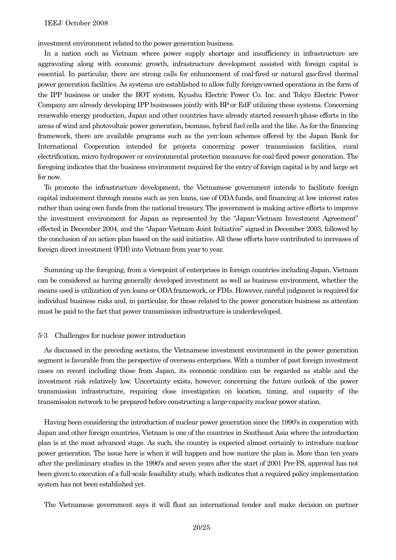investment environment related to the power generation business.

In a nation such as Vietnam where power supply shortage and insufficiency in infrastructure are aggravating along with economic growth, infrastructure development assisted with foreign capital is essential. In particular, there are strong calls for enhancement of coal-fired or natural gas-fired thermal power generation facilities. As systems are established to allow fully foreign-owned operations in the form of the IPP business or under the BOT system, Kyushu Electric Power Co. Inc. and Tokyo Electric Power Company are already developing IPP businesses jointly with BP or EdF utilizing these systems. Concerning renewable energy production, Japan and other countries have already started research-phase efforts in the areas of wind and photovoltaic power generation, biomass, hybrid fuel cells and the like. As for the financing framework, there are available programs such as the yen-loan schemes offered by the Japan Bank for International Cooperation intended for projects concerning power transmission facilities, rural electrification, micro hydropower or environmental protection measures for coal-fired power generation. The foregoing indicates that the business environment required for the entry of foreign capital is by and large set for now.

To promote the infrastructure development, the Vietnamese government intends to facilitate foreign capital inducement through means such as yen loans, use of ODA funds, and financing at low interest rates rather than using own funds from the national treasury. The government is making active efforts to improve the investment environment for Japan as represented by the "Japan-Vietnam Investment Agreement" effected in December 2004, and the "Japan-Vietnam Joint Initiative" signed in December 2003, followed by the conclusion of an action plan based on the said initiative. All these efforts have contributed to increases of foreign direct investment (FDI) into Vietnam from year to year.

Summing up the foregoing, from a viewpoint of enterprises in foreign countries including Japan, Vietnam can be considered as having generally developed investment as well as business environment, whether the means used is utilization of yen loans or ODA framework, or FDIs. However, careful judgment is required for individual business risks and, in particular, for those related to the power generation business as attention must be paid to the fact that power transmission infrastructure is underdeveloped.

#### 5-3 Challenges for nuclear power introduction

As discussed in the preceding sections, the Vietnamese investment environment in the power generation segment is favorable from the perspective of overseas enterprises. With a number of past foreign investment cases on record including those from Japan, its economic condition can be regarded as stable and the investment risk relatively low. Uncertainty exists, however, concerning the future outlook of the power transmission infrastructure, requiring close investigation on location, timing, and capacity of the transmission network to be prepared before constructing a large-capacity nuclear power station.

Having been considering the introduction of nuclear power generation since the 1990's in cooperation with Japan and other foreign countries, Vietnam is one of the countries in Southeast Asia where the introduction plan is at the most advanced stage. As such, the country is expected almost certainly to introduce nuclear power generation. The issue here is when it will happen and how mature the plan is. More than ten years after the preliminary studies in the 1990's and seven years after the start of 2001 Pre-FS, approval has not been given to execution of a full-scale feasibility study, which indicates that a required policy implementation system has not been established yet.

The Vietnamese government says it will float an international tender and make decision on partner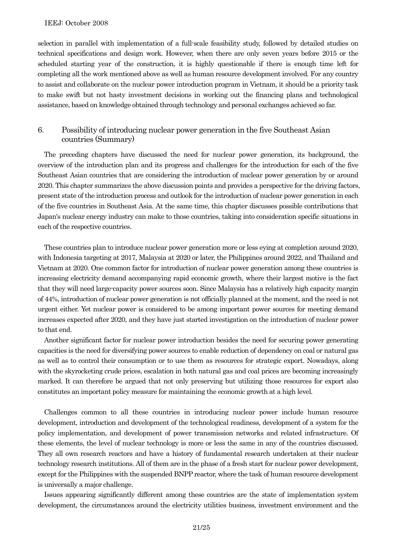selection in parallel with implementation of a full-scale feasibility study, followed by detailed studies on technical specifications and design work. However, when there are only seven years before 2015 or the scheduled starting year of the construction, it is highly questionable if there is enough time left for completing all the work mentioned above as well as human resource development involved. For any country to assist and collaborate on the nuclear power introduction program in Vietnam, it should be a priority task to make swift but not hasty investment decisions in working out the financing plans and technological assistance, based on knowledge obtained through technology and personal exchanges achieved so far.

# 6. Possibility of introducing nuclear power generation in the five Southeast Asian countries (Summary)

The preceding chapters have discussed the need for nuclear power generation, its background, the overview of the introduction plan and its progress and challenges for the introduction for each of the five Southeast Asian countries that are considering the introduction of nuclear power generation by or around 2020. This chapter summarizes the above discussion points and provides a perspective for the driving factors, present state of the introduction process and outlook for the introduction of nuclear power generation in each of the five countries in Southeast Asia. At the same time, this chapter discusses possible contributions that Japan's nuclear energy industry can make to those countries, taking into consideration specific situations in each of the respective countries.

These countries plan to introduce nuclear power generation more or less eying at completion around 2020, with Indonesia targeting at 2017, Malaysia at 2020 or later, the Philippines around 2022, and Thailand and Vietnam at 2020. One common factor for introduction of nuclear power generation among these countries is increasing electricity demand accompanying rapid economic growth, where their largest motive is the fact that they will need large-capacity power sources soon. Since Malaysia has a relatively high capacity margin of 44%, introduction of nuclear power generation is not officially planned at the moment, and the need is not urgent either. Yet nuclear power is considered to be among important power sources for meeting demand increases expected after 2020, and they have just started investigation on the introduction of nuclear power to that end.

Another significant factor for nuclear power introduction besides the need for securing power generating capacities is the need for diversifying power sources to enable reduction of dependency on coal or natural gas as well as to control their consumption or to use them as resources for strategic export. Nowadays, along with the skyrocketing crude prices, escalation in both natural gas and coal prices are becoming increasingly marked. It can therefore be argued that not only preserving but utilizing those resources for export also constitutes an important policy measure for maintaining the economic growth at a high level.

Challenges common to all these countries in introducing nuclear power include human resource development, introduction and development of the technological readiness, development of a system for the policy implementation, and development of power transmission networks and related infrastructure. Of these elements, the level of nuclear technology is more or less the same in any of the countries discussed. They all own research reactors and have a history of fundamental research undertaken at their nuclear technology research institutions. All of them are in the phase of a fresh start for nuclear power development, except for the Philippines with the suspended BNPP reactor, where the task of human resource development is universally a major challenge.

Issues appearing significantly different among these countries are the state of implementation system development, the circumstances around the electricity utilities business, investment environment and the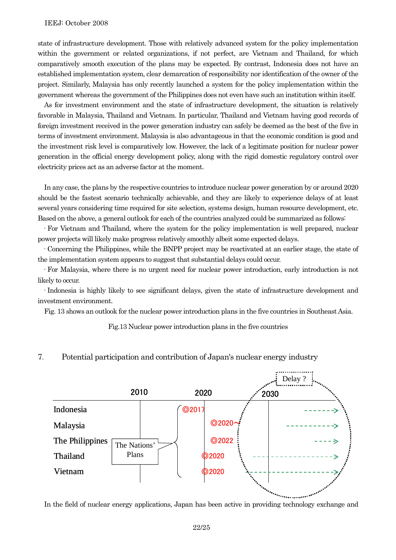state of infrastructure development. Those with relatively advanced system for the policy implementation within the government or related organizations, if not perfect, are Vietnam and Thailand, for which comparatively smooth execution of the plans may be expected. By contrast, Indonesia does not have an established implementation system, clear demarcation of responsibility nor identification of the owner of the project. Similarly, Malaysia has only recently launched a system for the policy implementation within the government whereas the government of the Philippines does not even have such an institution within itself.

As for investment environment and the state of infrastructure development, the situation is relatively favorable in Malaysia, Thailand and Vietnam. In particular, Thailand and Vietnam having good records of foreign investment received in the power generation industry can safely be deemed as the best of the five in terms of investment environment. Malaysia is also advantageous in that the economic condition is good and the investment risk level is comparatively low. However, the lack of a legitimate position for nuclear power generation in the official energy development policy, along with the rigid domestic regulatory control over electricity prices act as an adverse factor at the moment.

In any case, the plans by the respective countries to introduce nuclear power generation by or around 2020 should be the fastest scenario technically achievable, and they are likely to experience delays of at least several years considering time required for site selection, systems design, human resource development, etc. Based on the above, a general outlook for each of the countries analyzed could be summarized as follows:

·For Vietnam and Thailand, where the system for the policy implementation is well prepared, nuclear power projects will likely make progress relatively smoothly albeit some expected delays.

·Concerning the Philippines, while the BNPP project may be reactivated at an earlier stage, the state of the implementation system appears to suggest that substantial delays could occur.

·For Malaysia, where there is no urgent need for nuclear power introduction, early introduction is not likely to occur.

·Indonesia is highly likely to see significant delays, given the state of infrastructure development and investment environment.

Fig. 13 shows an outlook for the nuclear power introduction plans in the five countries in Southeast Asia.

Fig.13 Nuclear power introduction plans in the five countries

# 7. Potential participation and contribution of Japan's nuclear energy industry



In the field of nuclear energy applications, Japan has been active in providing technology exchange and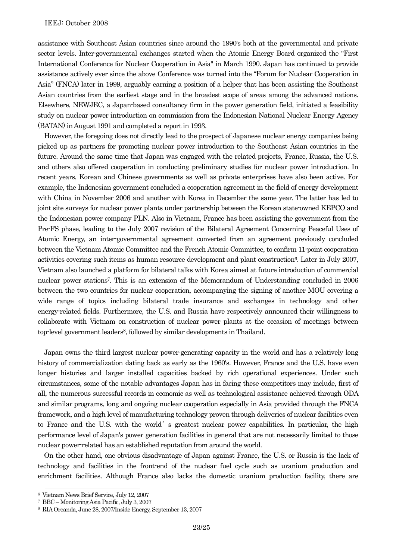assistance with Southeast Asian countries since around the 1990's both at the governmental and private sector levels. Inter-governmental exchanges started when the Atomic Energy Board organized the "First International Conference for Nuclear Cooperation in Asia" in March 1990. Japan has continued to provide assistance actively ever since the above Conference was turned into the "Forum for Nuclear Cooperation in Asia" (FNCA) later in 1999, arguably earning a position of a helper that has been assisting the Southeast Asian countries from the earliest stage and in the broadest scope of areas among the advanced nations. Elsewhere, NEWJEC, a Japan-based consultancy firm in the power generation field, initiated a feasibility study on nuclear power introduction on commission from the Indonesian National Nuclear Energy Agency (BATAN) in August 1991 and completed a report in 1993.

However, the foregoing does not directly lead to the prospect of Japanese nuclear energy companies being picked up as partners for promoting nuclear power introduction to the Southeast Asian countries in the future. Around the same time that Japan was engaged with the related projects, France, Russia, the U.S. and others also offered cooperation in conducting preliminary studies for nuclear power introduction. In recent years, Korean and Chinese governments as well as private enterprises have also been active. For example, the Indonesian government concluded a cooperation agreement in the field of energy development with China in November 2006 and another with Korea in December the same year. The latter has led to joint site surveys for nuclear power plants under partnership between the Korean state-owned KEPCO and the Indonesian power company PLN. Also in Vietnam, France has been assisting the government from the Pre-FS phase, leading to the July 2007 revision of the Bilateral Agreement Concerning Peaceful Uses of Atomic Energy, an inter-governmental agreement converted from an agreement previously concluded between the Vietnam Atomic Committee and the French Atomic Committee, to confirm 11-point cooperation activities covering such items as human resource development and plant construction6. Later in July 2007, Vietnam also launched a platform for bilateral talks with Korea aimed at future introduction of commercial nuclear power stations7. This is an extension of the Memorandum of Understanding concluded in 2006 between the two countries for nuclear cooperation, accompanying the signing of another MOU covering a wide range of topics including bilateral trade insurance and exchanges in technology and other energy-related fields. Furthermore, the U.S. and Russia have respectively announced their willingness to collaborate with Vietnam on construction of nuclear power plants at the occasion of meetings between top-level government leaders8, followed by similar developments in Thailand.

Japan owns the third largest nuclear power-generating capacity in the world and has a relatively long history of commercialization dating back as early as the 1960's. However, France and the U.S. have even longer histories and larger installed capacities backed by rich operational experiences. Under such circumstances, some of the notable advantages Japan has in facing these competitors may include, first of all, the numerous successful records in economic as well as technological assistance achieved through ODA and similar programs, long and ongoing nuclear cooperation especially in Asia provided through the FNCA framework, and a high level of manufacturing technology proven through deliveries of nuclear facilities even to France and the U.S. with the world's greatest nuclear power capabilities. In particular, the high performance level of Japan's power generation facilities in general that are not necessarily limited to those nuclear power-related has an established reputation from around the world.

On the other hand, one obvious disadvantage of Japan against France, the U.S. or Russia is the lack of technology and facilities in the front-end of the nuclear fuel cycle such as uranium production and enrichment facilities. Although France also lacks the domestic uranium production facility, there are

 <sup>6</sup> Vietnam News Brief Service, July 12, 2007

<sup>7</sup> BBC – Monitoring Asia Pacific, July 3, 2007

<sup>8</sup> RIA Oreanda, June 28, 2007/Inside Energy, September 13, 2007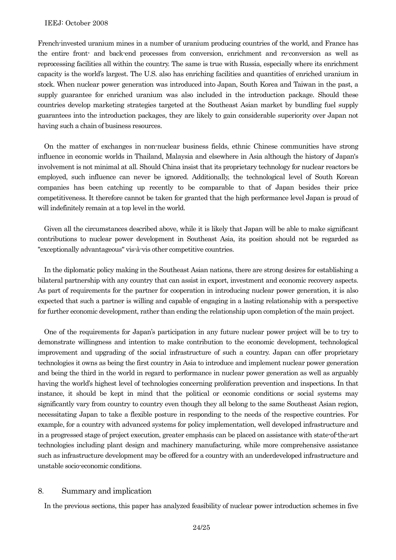French-invested uranium mines in a number of uranium producing countries of the world, and France has the entire front- and back-end processes from conversion, enrichment and re-conversion as well as reprocessing facilities all within the country. The same is true with Russia, especially where its enrichment capacity is the world's largest. The U.S. also has enriching facilities and quantities of enriched uranium in stock. When nuclear power generation was introduced into Japan, South Korea and Taiwan in the past, a supply guarantee for enriched uranium was also included in the introduction package. Should these countries develop marketing strategies targeted at the Southeast Asian market by bundling fuel supply guarantees into the introduction packages, they are likely to gain considerable superiority over Japan not having such a chain of business resources.

On the matter of exchanges in non-nuclear business fields, ethnic Chinese communities have strong influence in economic worlds in Thailand, Malaysia and elsewhere in Asia although the history of Japan's involvement is not minimal at all. Should China insist that its proprietary technology for nuclear reactors be employed, such influence can never be ignored. Additionally, the technological level of South Korean companies has been catching up recently to be comparable to that of Japan besides their price competitiveness. It therefore cannot be taken for granted that the high performance level Japan is proud of will indefinitely remain at a top level in the world.

Given all the circumstances described above, while it is likely that Japan will be able to make significant contributions to nuclear power development in Southeast Asia, its position should not be regarded as "exceptionally advantageous" vis-à-vis other competitive countries.

In the diplomatic policy making in the Southeast Asian nations, there are strong desires for establishing a bilateral partnership with any country that can assist in export, investment and economic recovery aspects. As part of requirements for the partner for cooperation in introducing nuclear power generation, it is also expected that such a partner is willing and capable of engaging in a lasting relationship with a perspective for further economic development, rather than ending the relationship upon completion of the main project.

One of the requirements for Japan's participation in any future nuclear power project will be to try to demonstrate willingness and intention to make contribution to the economic development, technological improvement and upgrading of the social infrastructure of such a country. Japan can offer proprietary technologies it owns as being the first country in Asia to introduce and implement nuclear power generation and being the third in the world in regard to performance in nuclear power generation as well as arguably having the world's highest level of technologies concerning proliferation prevention and inspections. In that instance, it should be kept in mind that the political or economic conditions or social systems may significantly vary from country to country even though they all belong to the same Southeast Asian region, necessitating Japan to take a flexible posture in responding to the needs of the respective countries. For example, for a country with advanced systems for policy implementation, well developed infrastructure and in a progressed stage of project execution, greater emphasis can be placed on assistance with state-of-the-art technologies including plant design and machinery manufacturing, while more comprehensive assistance such as infrastructure development may be offered for a country with an underdeveloped infrastructure and unstable socio-economic conditions.

# 8. Summary and implication

In the previous sections, this paper has analyzed feasibility of nuclear power introduction schemes in five